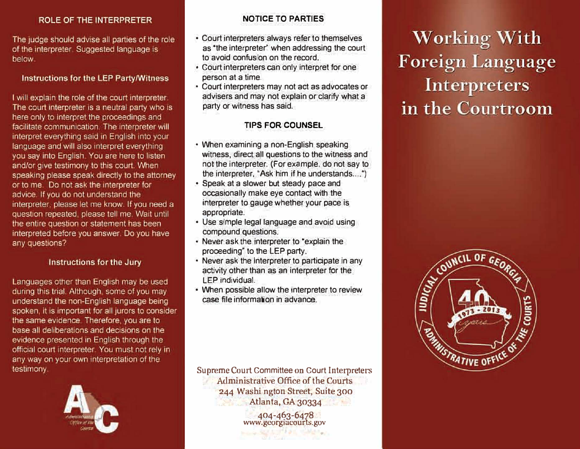#### ROLE OF THE INTERPRETER

The judge should advise all parties of the role of the interpreter. Suggested language is below.

#### Instructions for the LEP Party/Witness

I will explain the role of the court interpreter. The court interpreter is a neutral party who is here only to interpret the proceedings and facilitate communication. The interpreter will interpret everything said in English into your language and will also interpret everything you say into English. You are here to listen and/or give testimony to this court. When speaking please speak directly to the attorney or to me. Do not ask the interpreter for advice. If you do not understand the interpreter, please let me know. If you need a question repeated, please tell me. Wait until the entire question or statement has been interpreted before you answer. Do you have any questions?

#### Instructions for the Jury

Languages other than English may be used during this trial. Although, some of you may understand the non-English language being spoken, it is important for all jurors to consider the same evidence. Therefore, you are to base all deliberations and decisions on the evidence presented in English through the official court interpreter. You must not rely in any way on your own interpretation of the testimony.



### **NOTICE TO PARTIES**

- Court interpreters always refer to themselves as 'the interpreter" when addressing the court to avoid confusion on the record.
- Court interpreters can only interpret for one person at a time.
- Courtinterpreters may not act as advocates or advisers and may not explain or clarify what a party or witness has said.

# **TIPS FOR COUNSEL**

- When examining a non-English speaking witness, direct all questions to the witness and not the interpreter. (For example, do not say to the interpreter, *'Ask him if he understands*....'')
- Speak at a slower but steady pace and occasionally make eye contact with the interpreter to gauge whether your pace is appropriate.
- Use simple legal language and avoid using compound questions.
- Never ask the interpreter to "explain the proceeding; to the LEP party,
- Never ask the Interpreter to participate in any activity other than as an interpreter for the lEP individual.
- When possible allow the interpreter to review case file information in advance,

Supreme Court Committee on Court Interpreters Administrative Office of the Courts 244 Washi ngton Street, Suite 300 Atlanta, GA 30334

404-463-6478<br>www.georgiacourts.gov

**Working With Foreign Language Interpreters** in the Courtroom